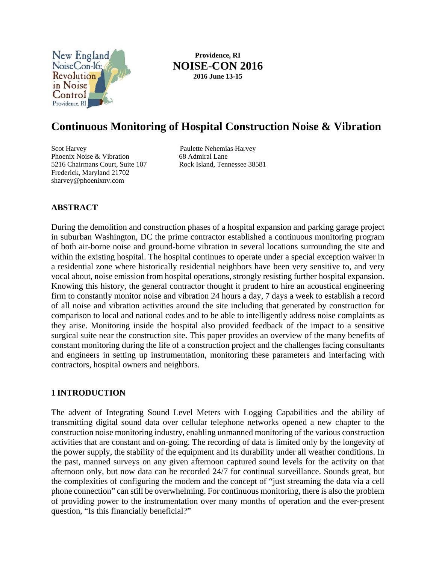

**Providence, RI NOISE-CON 2016 2016 June 13-15**

# **Continuous Monitoring of Hospital Construction Noise & Vibration**

Scot Harvey Paulette Nehemias Harvey Phoenix Noise & Vibration 68 Admiral Lane<br>
5216 Chairmans Court, Suite 107 Rock Island, Tennessee 38581 5216 Chairmans Court, Suite 107 Frederick, Maryland 21702 sharvey@phoenixnv.com

## **ABSTRACT**

During the demolition and construction phases of a hospital expansion and parking garage project in suburban Washington, DC the prime contractor established a continuous monitoring program of both air-borne noise and ground-borne vibration in several locations surrounding the site and within the existing hospital. The hospital continues to operate under a special exception waiver in a residential zone where historically residential neighbors have been very sensitive to, and very vocal about, noise emission from hospital operations, strongly resisting further hospital expansion. Knowing this history, the general contractor thought it prudent to hire an acoustical engineering firm to constantly monitor noise and vibration 24 hours a day, 7 days a week to establish a record of all noise and vibration activities around the site including that generated by construction for comparison to local and national codes and to be able to intelligently address noise complaints as they arise. Monitoring inside the hospital also provided feedback of the impact to a sensitive surgical suite near the construction site. This paper provides an overview of the many benefits of constant monitoring during the life of a construction project and the challenges facing consultants and engineers in setting up instrumentation, monitoring these parameters and interfacing with contractors, hospital owners and neighbors.

## **1 INTRODUCTION**

The advent of Integrating Sound Level Meters with Logging Capabilities and the ability of transmitting digital sound data over cellular telephone networks opened a new chapter to the construction noise monitoring industry, enabling unmanned monitoring of the various construction activities that are constant and on-going. The recording of data is limited only by the longevity of the power supply, the stability of the equipment and its durability under all weather conditions. In the past, manned surveys on any given afternoon captured sound levels for the activity on that afternoon only, but now data can be recorded 24/7 for continual surveillance. Sounds great, but the complexities of configuring the modem and the concept of "just streaming the data via a cell phone connection" can still be overwhelming. For continuous monitoring, there is also the problem of providing power to the instrumentation over many months of operation and the ever-present question, "Is this financially beneficial?"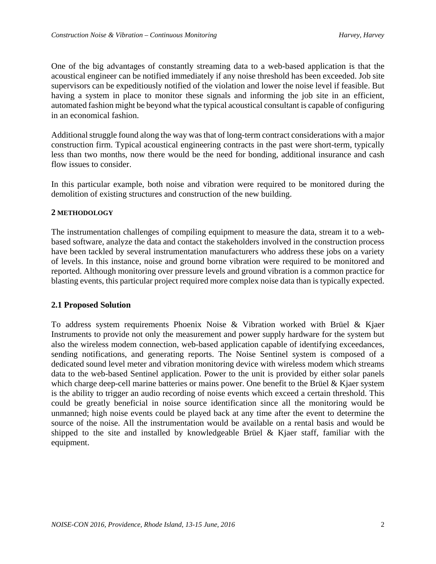One of the big advantages of constantly streaming data to a web-based application is that the acoustical engineer can be notified immediately if any noise threshold has been exceeded. Job site supervisors can be expeditiously notified of the violation and lower the noise level if feasible. But having a system in place to monitor these signals and informing the job site in an efficient, automated fashion might be beyond what the typical acoustical consultant is capable of configuring in an economical fashion.

Additional struggle found along the way was that of long-term contract considerations with a major construction firm. Typical acoustical engineering contracts in the past were short-term, typically less than two months, now there would be the need for bonding, additional insurance and cash flow issues to consider.

In this particular example, both noise and vibration were required to be monitored during the demolition of existing structures and construction of the new building.

## **2 METHODOLOGY**

The instrumentation challenges of compiling equipment to measure the data, stream it to a webbased software, analyze the data and contact the stakeholders involved in the construction process have been tackled by several instrumentation manufacturers who address these jobs on a variety of levels. In this instance, noise and ground borne vibration were required to be monitored and reported. Although monitoring over pressure levels and ground vibration is a common practice for blasting events, this particular project required more complex noise data than is typically expected.

## **2.1 Proposed Solution**

To address system requirements Phoenix Noise & Vibration worked with Brüel & Kjaer Instruments to provide not only the measurement and power supply hardware for the system but also the wireless modem connection, web-based application capable of identifying exceedances, sending notifications, and generating reports. The Noise Sentinel system is composed of a dedicated sound level meter and vibration monitoring device with wireless modem which streams data to the web-based Sentinel application. Power to the unit is provided by either solar panels which charge deep-cell marine batteries or mains power. One benefit to the Brüel & Kjaer system is the ability to trigger an audio recording of noise events which exceed a certain threshold. This could be greatly beneficial in noise source identification since all the monitoring would be unmanned; high noise events could be played back at any time after the event to determine the source of the noise. All the instrumentation would be available on a rental basis and would be shipped to the site and installed by knowledgeable Brüel & Kjaer staff, familiar with the equipment.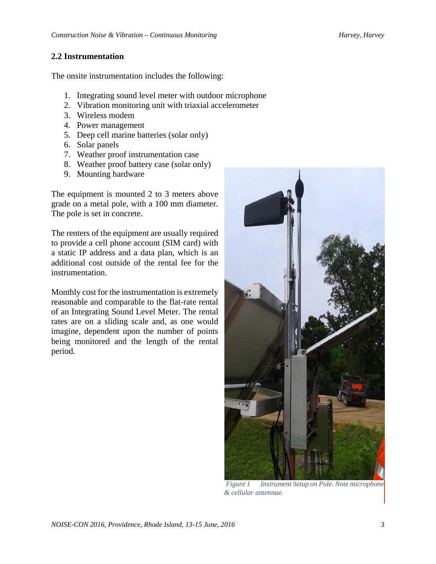## **2.2 Instrumentation**

The onsite instrumentation includes the following:

- 1. Integrating sound level meter with outdoor microphone
- 2. Vibration monitoring unit with triaxial accelerometer
- 3. Wireless modem
- 4. Power management
- 5. Deep cell marine batteries (solar only)
- 6. Solar panels
- 7. Weather proof instrumentation case
- 8. Weather proof battery case (solar only)
- 9. Mounting hardware

The equipment is mounted 2 to 3 meters above grade on a metal pole, with a 100 mm diameter. The pole is set in concrete.

The renters of the equipment are usually required to provide a cell phone account (SIM card) with a static IP address and a data plan, which is an additional cost outside of the rental fee for the instrumentation.

Monthly cost for the instrumentation is extremely reasonable and comparable to the flat-rate rental of an Integrating Sound Level Meter. The rental rates are on a sliding scale and, as one would imagine, dependent upon the number of points being monitored and the length of the rental period.



 *Figure 1 Instrument Setup on Pole. Note microphone & cellular antennae.*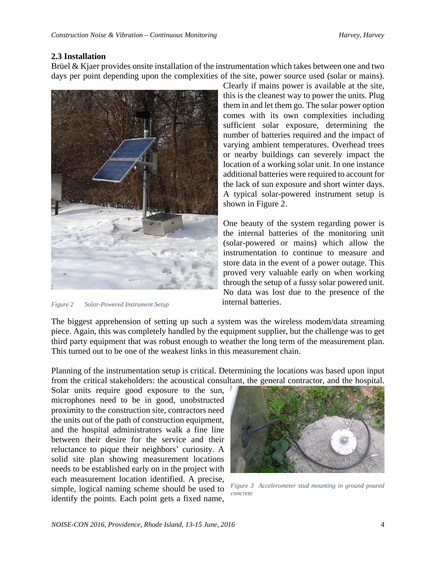## **2.3 Installation**

Brüel & Kjaer provides onsite installation of the instrumentation which takes between one and two days per point depending upon the complexities of the site, power source used (solar or mains).



*Figure 2 Solar-Powered Instrument Setup*

Clearly if mains power is available at the site, this is the cleanest way to power the units. Plug them in and let them go. The solar power option comes with its own complexities including sufficient solar exposure, determining the number of batteries required and the impact of varying ambient temperatures. Overhead trees or nearby buildings can severely impact the location of a working solar unit. In one instance additional batteries were required to account for the lack of sun exposure and short winter days. A typical solar-powered instrument setup is shown in Figure 2.

One beauty of the system regarding power is the internal batteries of the monitoring unit (solar-powered or mains) which allow the instrumentation to continue to measure and store data in the event of a power outage. This proved very valuable early on when working through the setup of a fussy solar powered unit. No data was lost due to the presence of the internal batteries.

The biggest apprehension of setting up such a system was the wireless modem/data streaming piece. Again, this was completely handled by the equipment supplier, but the challenge was to get third party equipment that was robust enough to weather the long term of the measurement plan. This turned out to be one of the weakest links in this measurement chain.

Planning of the instrumentation setup is critical. Determining the locations was based upon input from the critical stakeholders: the acoustical consultant, the general contractor, and the hospital.

Solar units require good exposure to the sun, microphones need to be in good, unobstructed proximity to the construction site, contractors need the units out of the path of construction equipment, and the hospital administrators walk a fine line between their desire for the service and their reluctance to pique their neighbors' curiosity. A solid site plan showing measurement locations needs to be established early on in the project with each measurement location identified. A precise, simple, logical naming scheme should be used to identify the points. Each point gets a fixed name,



*Figure 3 Accelerometer stud mounting in ground poured concrete*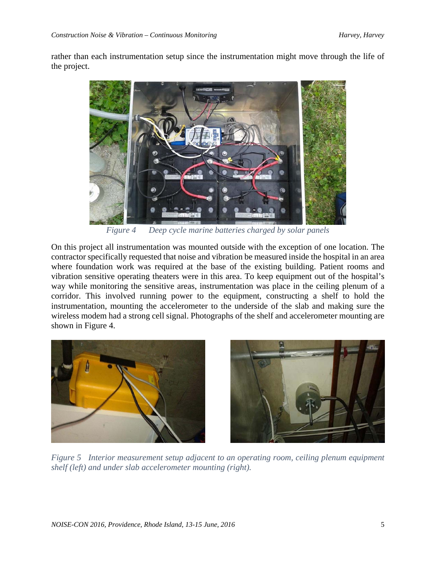rather than each instrumentation setup since the instrumentation might move through the life of the project.



*Figure 4 Deep cycle marine batteries charged by solar panels* 

On this project all instrumentation was mounted outside with the exception of one location. The contractor specifically requested that noise and vibration be measured inside the hospital in an area where foundation work was required at the base of the existing building. Patient rooms and vibration sensitive operating theaters were in this area. To keep equipment out of the hospital's way while monitoring the sensitive areas, instrumentation was place in the ceiling plenum of a corridor. This involved running power to the equipment, constructing a shelf to hold the instrumentation, mounting the accelerometer to the underside of the slab and making sure the wireless modem had a strong cell signal. Photographs of the shelf and accelerometer mounting are shown in Figure 4.





*Figure 5 Interior measurement setup adjacent to an operating room, ceiling plenum equipment shelf (left) and under slab accelerometer mounting (right).*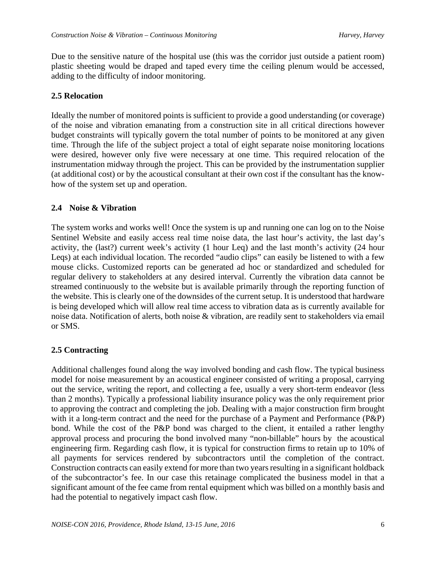Due to the sensitive nature of the hospital use (this was the corridor just outside a patient room) plastic sheeting would be draped and taped every time the ceiling plenum would be accessed, adding to the difficulty of indoor monitoring.

## **2.5 Relocation**

Ideally the number of monitored points is sufficient to provide a good understanding (or coverage) of the noise and vibration emanating from a construction site in all critical directions however budget constraints will typically govern the total number of points to be monitored at any given time. Through the life of the subject project a total of eight separate noise monitoring locations were desired, however only five were necessary at one time. This required relocation of the instrumentation midway through the project. This can be provided by the instrumentation supplier (at additional cost) or by the acoustical consultant at their own cost if the consultant has the knowhow of the system set up and operation.

## **2.4 Noise & Vibration**

The system works and works well! Once the system is up and running one can log on to the Noise Sentinel Website and easily access real time noise data, the last hour's activity, the last day's activity, the (last?) current week's activity (1 hour Leq) and the last month's activity (24 hour Leqs) at each individual location. The recorded "audio clips" can easily be listened to with a few mouse clicks. Customized reports can be generated ad hoc or standardized and scheduled for regular delivery to stakeholders at any desired interval. Currently the vibration data cannot be streamed continuously to the website but is available primarily through the reporting function of the website. This is clearly one of the downsides of the current setup. It is understood that hardware is being developed which will allow real time access to vibration data as is currently available for noise data. Notification of alerts, both noise & vibration, are readily sent to stakeholders via email or SMS.

## **2.5 Contracting**

Additional challenges found along the way involved bonding and cash flow. The typical business model for noise measurement by an acoustical engineer consisted of writing a proposal, carrying out the service, writing the report, and collecting a fee, usually a very short-term endeavor (less than 2 months). Typically a professional liability insurance policy was the only requirement prior to approving the contract and completing the job. Dealing with a major construction firm brought with it a long-term contract and the need for the purchase of a Payment and Performance (P&P) bond. While the cost of the P&P bond was charged to the client, it entailed a rather lengthy approval process and procuring the bond involved many "non-billable" hours by the acoustical engineering firm. Regarding cash flow, it is typical for construction firms to retain up to 10% of all payments for services rendered by subcontractors until the completion of the contract. Construction contracts can easily extend for more than two years resulting in a significant holdback of the subcontractor's fee. In our case this retainage complicated the business model in that a significant amount of the fee came from rental equipment which was billed on a monthly basis and had the potential to negatively impact cash flow.